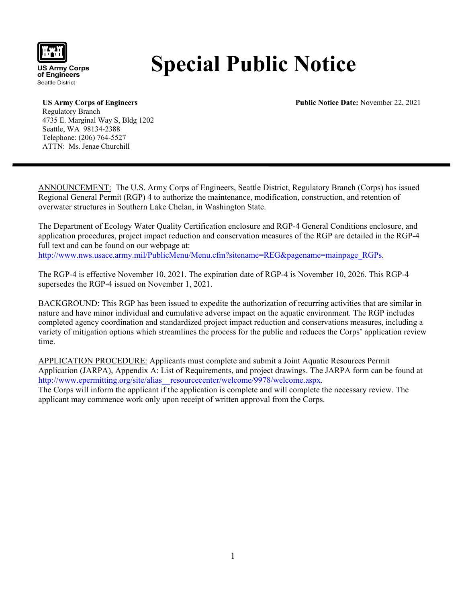

**US Army Corps of Engineers** Seattle District

# **Special Public Notice**

**Public Notice Date:** November 22, 2021

**US Army Corps of Engineers** Regulatory Branch 4735 E. Marginal Way S, Bldg 1202 Seattle, WA 98134-2388 Telephone: (206) 764-5527 ATTN: Ms. Jenae Churchill

ANNOUNCEMENT: The U.S. Army Corps of Engineers, Seattle District, Regulatory Branch (Corps) has issued Regional General Permit (RGP) 4 to authorize the maintenance, modification, construction, and retention of overwater structures in Southern Lake Chelan, in Washington State.

The Department of Ecology Water Quality Certification enclosure and RGP-4 General Conditions enclosure, and application procedures, project impact reduction and conservation measures of the RGP are detailed in the RGP-4 full text and can be found on our webpage at: [http://www.nws.usace.army.mil/PublicMenu/Menu.cfm?sitename=REG&pagename=mainpage\\_RGPs.](http://www.nws.usace.army.mil/PublicMenu/Menu.cfm?sitename=REG&pagename=mainpage_RGPs)

The RGP-4 is effective November 10, 2021. The expiration date of RGP-4 is November 10, 2026. This RGP-4 supersedes the RGP-4 issued on November 1, 2021.

BACKGROUND: This RGP has been issued to expedite the authorization of recurring activities that are similar in nature and have minor individual and cumulative adverse impact on the aquatic environment. The RGP includes completed agency coordination and standardized project impact reduction and conservations measures, including a variety of mitigation options which streamlines the process for the public and reduces the Corps' application review time.

APPLICATION PROCEDURE: Applicants must complete and submit a Joint Aquatic Resources Permit Application (JARPA), Appendix A: List of Requirements, and project drawings. The JARPA form can be found at http://www.epermitting.org/site/alias\_resourcecenter/welcome/9978/welcome.aspx. The Corps will inform the applicant if the application is complete and will complete the necessary review. The

applicant may commence work only upon receipt of written approval from the Corps.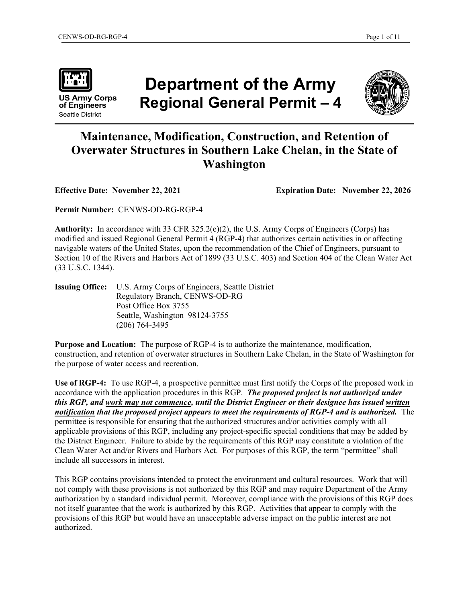

**US Army Corps of Engineers** Seattle District

## **Department of the Army Regional General Permit – 4**



## **Maintenance, Modification, Construction, and Retention of Overwater Structures in Southern Lake Chelan, in the State of Washington**

**Effective Date: November 22, 2021 Expiration Date: November 22, 2026**

**Permit Number:** CENWS-OD-RG-RGP-4

**Authority:** In accordance with 33 CFR 325.2(e)(2), the U.S. Army Corps of Engineers (Corps) has modified and issued Regional General Permit 4 (RGP-4) that authorizes certain activities in or affecting navigable waters of the United States, upon the recommendation of the Chief of Engineers, pursuant to Section 10 of the Rivers and Harbors Act of 1899 (33 U.S.C. 403) and Section 404 of the Clean Water Act (33 U.S.C. 1344).

**Issuing Office:** U.S. Army Corps of Engineers, Seattle District Regulatory Branch, CENWS-OD-RG Post Office Box 3755 Seattle, Washington 98124-3755 (206) 764-3495

**Purpose and Location:** The purpose of RGP-4 is to authorize the maintenance, modification, construction, and retention of overwater structures in Southern Lake Chelan, in the State of Washington for the purpose of water access and recreation.

**Use of RGP-4:** To use RGP-4, a prospective permittee must first notify the Corps of the proposed work in accordance with the application procedures in this RGP. *The proposed project is not authorized under this RGP, and work may not commence, until the District Engineer or their designee has issued written notification that the proposed project appears to meet the requirements of RGP-4 and is authorized.* The permittee is responsible for ensuring that the authorized structures and/or activities comply with all applicable provisions of this RGP, including any project-specific special conditions that may be added by the District Engineer. Failure to abide by the requirements of this RGP may constitute a violation of the Clean Water Act and/or Rivers and Harbors Act. For purposes of this RGP, the term "permittee" shall include all successors in interest.

This RGP contains provisions intended to protect the environment and cultural resources. Work that will not comply with these provisions is not authorized by this RGP and may require Department of the Army authorization by a standard individual permit. Moreover, compliance with the provisions of this RGP does not itself guarantee that the work is authorized by this RGP. Activities that appear to comply with the provisions of this RGP but would have an unacceptable adverse impact on the public interest are not authorized.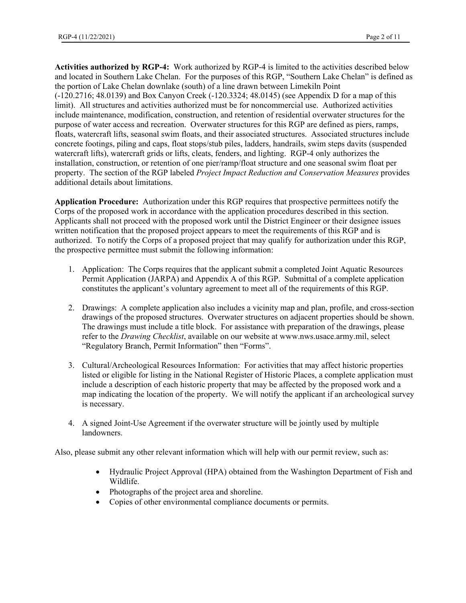**Activities authorized by RGP-4:** Work authorized by RGP-4 is limited to the activities described below and located in Southern Lake Chelan. For the purposes of this RGP, "Southern Lake Chelan" is defined as the portion of Lake Chelan downlake (south) of a line drawn between Limekiln Point (-120.2716; 48.0139) and Box Canyon Creek (-120.3324; 48.0145) (see Appendix D for a map of this limit). All structures and activities authorized must be for noncommercial use. Authorized activities include maintenance, modification, construction, and retention of residential overwater structures for the purpose of water access and recreation. Overwater structures for this RGP are defined as piers, ramps, floats, watercraft lifts, seasonal swim floats, and their associated structures. Associated structures include concrete footings, piling and caps, float stops/stub piles, ladders, handrails, swim steps davits (suspended watercraft lifts), watercraft grids or lifts, cleats, fenders, and lighting. RGP-4 only authorizes the installation, construction, or retention of one pier/ramp/float structure and one seasonal swim float per property. The section of the RGP labeled *Project Impact Reduction and Conservation Measures* provides additional details about limitations.

**Application Procedure:** Authorization under this RGP requires that prospective permittees notify the Corps of the proposed work in accordance with the application procedures described in this section. Applicants shall not proceed with the proposed work until the District Engineer or their designee issues written notification that the proposed project appears to meet the requirements of this RGP and is authorized. To notify the Corps of a proposed project that may qualify for authorization under this RGP, the prospective permittee must submit the following information:

- 1. Application: The Corps requires that the applicant submit a completed Joint Aquatic Resources Permit Application (JARPA) and Appendix A of this RGP. Submittal of a complete application constitutes the applicant's voluntary agreement to meet all of the requirements of this RGP.
- 2. Drawings: A complete application also includes a vicinity map and plan, profile, and cross-section drawings of the proposed structures. Overwater structures on adjacent properties should be shown. The drawings must include a title block. For assistance with preparation of the drawings, please refer to the *Drawing Checklist*, available on our website at www.nws.usace.army.mil, select "Regulatory Branch, Permit Information" then "Forms".
- 3. Cultural/Archeological Resources Information: For activities that may affect historic properties listed or eligible for listing in the National Register of Historic Places, a complete application must include a description of each historic property that may be affected by the proposed work and a map indicating the location of the property. We will notify the applicant if an archeological survey is necessary.
- 4. A signed Joint-Use Agreement if the overwater structure will be jointly used by multiple landowners.

Also, please submit any other relevant information which will help with our permit review, such as:

- Hydraulic Project Approval (HPA) obtained from the Washington Department of Fish and Wildlife.
- Photographs of the project area and shoreline.
- Copies of other environmental compliance documents or permits.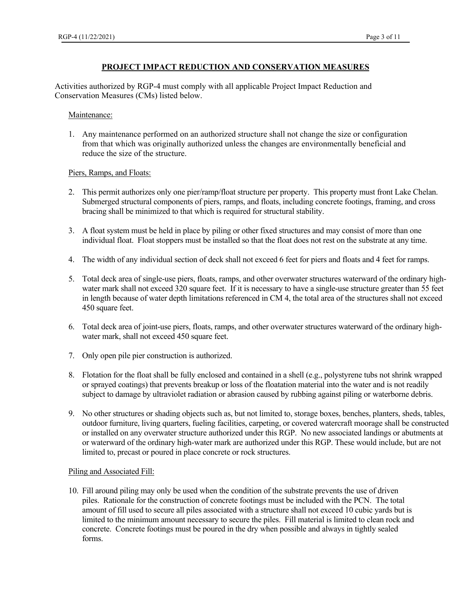#### **PROJECT IMPACT REDUCTION AND CONSERVATION MEASURES**

Activities authorized by RGP-4 must comply with all applicable Project Impact Reduction and Conservation Measures (CMs) listed below.

#### Maintenance:

1. Any maintenance performed on an authorized structure shall not change the size or configuration from that which was originally authorized unless the changes are environmentally beneficial and reduce the size of the structure.

#### Piers, Ramps, and Floats:

- 2. This permit authorizes only one pier/ramp/float structure per property. This property must front Lake Chelan. Submerged structural components of piers, ramps, and floats, including concrete footings, framing, and cross bracing shall be minimized to that which is required for structural stability.
- 3. A float system must be held in place by piling or other fixed structures and may consist of more than one individual float. Float stoppers must be installed so that the float does not rest on the substrate at any time.
- 4. The width of any individual section of deck shall not exceed 6 feet for piers and floats and 4 feet for ramps.
- 5. Total deck area of single-use piers, floats, ramps, and other overwater structures waterward of the ordinary highwater mark shall not exceed 320 square feet. If it is necessary to have a single-use structure greater than 55 feet in length because of water depth limitations referenced in CM 4, the total area of the structures shall not exceed 450 square feet.
- 6. Total deck area of joint-use piers, floats, ramps, and other overwater structures waterward of the ordinary highwater mark, shall not exceed 450 square feet.
- 7. Only open pile pier construction is authorized.
- 8. Flotation for the float shall be fully enclosed and contained in a shell (e.g., polystyrene tubs not shrink wrapped or sprayed coatings) that prevents breakup or loss of the floatation material into the water and is not readily subject to damage by ultraviolet radiation or abrasion caused by rubbing against piling or waterborne debris.
- 9. No other structures or shading objects such as, but not limited to, storage boxes, benches, planters, sheds, tables, outdoor furniture, living quarters, fueling facilities, carpeting, or covered watercraft moorage shall be constructed or installed on any overwater structure authorized under this RGP. No new associated landings or abutments at or waterward of the ordinary high-water mark are authorized under this RGP. These would include, but are not limited to, precast or poured in place concrete or rock structures.

#### Piling and Associated Fill:

10. Fill around piling may only be used when the condition of the substrate prevents the use of driven piles. Rationale for the construction of concrete footings must be included with the PCN. The total amount of fill used to secure all piles associated with a structure shall not exceed 10 cubic yards but is limited to the minimum amount necessary to secure the piles. Fill material is limited to clean rock and concrete. Concrete footings must be poured in the dry when possible and always in tightly sealed forms.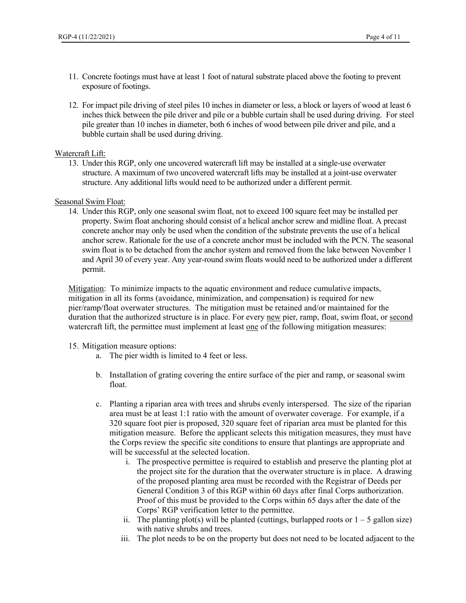- 11. Concrete footings must have at least 1 foot of natural substrate placed above the footing to prevent exposure of footings.
- 12. For impact pile driving of steel piles 10 inches in diameter or less, a block or layers of wood at least 6 inches thick between the pile driver and pile or a bubble curtain shall be used during driving. For steel pile greater than 10 inches in diameter, both 6 inches of wood between pile driver and pile, and a bubble curtain shall be used during driving.

#### Watercraft Lift:

13. Under this RGP, only one uncovered watercraft lift may be installed at a single-use overwater structure. A maximum of two uncovered watercraft lifts may be installed at a joint-use overwater structure. Any additional lifts would need to be authorized under a different permit.

#### Seasonal Swim Float:

14. Under this RGP, only one seasonal swim float, not to exceed 100 square feet may be installed per property. Swim float anchoring should consist of a helical anchor screw and midline float. A precast concrete anchor may only be used when the condition of the substrate prevents the use of a helical anchor screw. Rationale for the use of a concrete anchor must be included with the PCN. The seasonal swim float is to be detached from the anchor system and removed from the lake between November 1 and April 30 of every year. Any year-round swim floats would need to be authorized under a different permit.

Mitigation: To minimize impacts to the aquatic environment and reduce cumulative impacts, mitigation in all its forms (avoidance, minimization, and compensation) is required for new pier/ramp/float overwater structures. The mitigation must be retained and/or maintained for the duration that the authorized structure is in place. For every new pier, ramp, float, swim float, or second watercraft lift, the permittee must implement at least one of the following mitigation measures:

#### 15. Mitigation measure options:

- a. The pier width is limited to 4 feet or less.
- b. Installation of grating covering the entire surface of the pier and ramp, or seasonal swim float.
- c. Planting a riparian area with trees and shrubs evenly interspersed. The size of the riparian area must be at least 1:1 ratio with the amount of overwater coverage. For example, if a 320 square foot pier is proposed, 320 square feet of riparian area must be planted for this mitigation measure. Before the applicant selects this mitigation measures, they must have the Corps review the specific site conditions to ensure that plantings are appropriate and will be successful at the selected location.
	- i. The prospective permittee is required to establish and preserve the planting plot at the project site for the duration that the overwater structure is in place. A drawing of the proposed planting area must be recorded with the Registrar of Deeds per General Condition 3 of this RGP within 60 days after final Corps authorization. Proof of this must be provided to the Corps within 65 days after the date of the Corps' RGP verification letter to the permittee.
	- ii. The planting plot(s) will be planted (cuttings, burlapped roots or  $1 5$  gallon size) with native shrubs and trees.
	- iii. The plot needs to be on the property but does not need to be located adjacent to the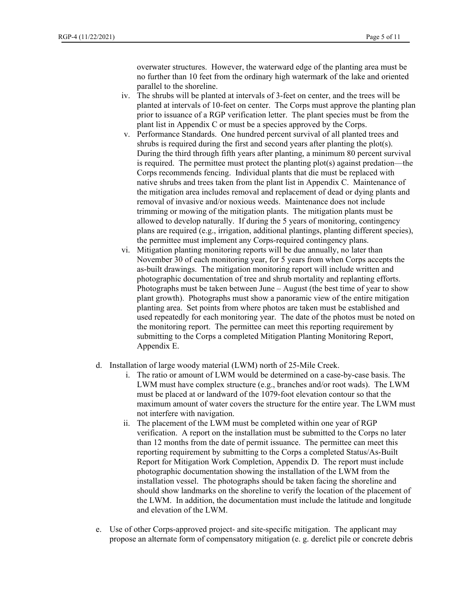overwater structures. However, the waterward edge of the planting area must be no further than 10 feet from the ordinary high watermark of the lake and oriented parallel to the shoreline.

- iv. The shrubs will be planted at intervals of 3-feet on center, and the trees will be planted at intervals of 10-feet on center. The Corps must approve the planting plan prior to issuance of a RGP verification letter. The plant species must be from the plant list in Appendix C or must be a species approved by the Corps.
- v. Performance Standards. One hundred percent survival of all planted trees and shrubs is required during the first and second years after planting the plot(s). During the third through fifth years after planting, a minimum 80 percent survival is required. The permittee must protect the planting plot(s) against predation—the Corps recommends fencing. Individual plants that die must be replaced with native shrubs and trees taken from the plant list in Appendix C. Maintenance of the mitigation area includes removal and replacement of dead or dying plants and removal of invasive and/or noxious weeds. Maintenance does not include trimming or mowing of the mitigation plants. The mitigation plants must be allowed to develop naturally. If during the 5 years of monitoring, contingency plans are required (e.g., irrigation, additional plantings, planting different species), the permittee must implement any Corps-required contingency plans.
- vi. Mitigation planting monitoring reports will be due annually, no later than November 30 of each monitoring year, for 5 years from when Corps accepts the as-built drawings. The mitigation monitoring report will include written and photographic documentation of tree and shrub mortality and replanting efforts. Photographs must be taken between June – August (the best time of year to show plant growth). Photographs must show a panoramic view of the entire mitigation planting area. Set points from where photos are taken must be established and used repeatedly for each monitoring year. The date of the photos must be noted on the monitoring report. The permittee can meet this reporting requirement by submitting to the Corps a completed Mitigation Planting Monitoring Report, Appendix E.
- d. Installation of large woody material (LWM) north of 25-Mile Creek.
	- i. The ratio or amount of LWM would be determined on a case-by-case basis. The LWM must have complex structure (e.g., branches and/or root wads). The LWM must be placed at or landward of the 1079-foot elevation contour so that the maximum amount of water covers the structure for the entire year. The LWM must not interfere with navigation.
	- ii. The placement of the LWM must be completed within one year of RGP verification. A report on the installation must be submitted to the Corps no later than 12 months from the date of permit issuance. The permittee can meet this reporting requirement by submitting to the Corps a completed Status/As-Built Report for Mitigation Work Completion, Appendix D. The report must include photographic documentation showing the installation of the LWM from the installation vessel. The photographs should be taken facing the shoreline and should show landmarks on the shoreline to verify the location of the placement of the LWM. In addition, the documentation must include the latitude and longitude and elevation of the LWM.
- e. Use of other Corps-approved project- and site-specific mitigation. The applicant may propose an alternate form of compensatory mitigation (e. g. derelict pile or concrete debris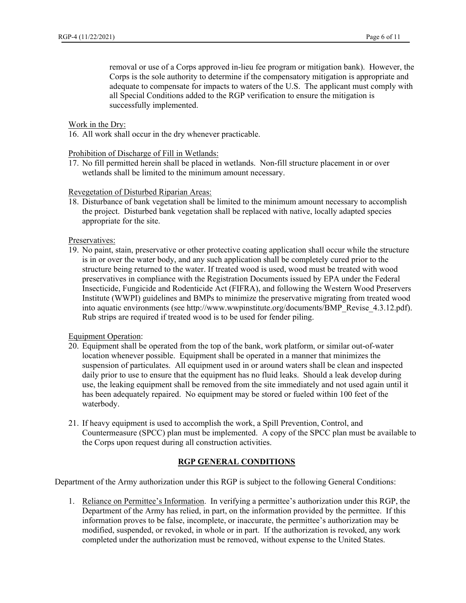removal or use of a Corps approved in-lieu fee program or mitigation bank). However, the Corps is the sole authority to determine if the compensatory mitigation is appropriate and adequate to compensate for impacts to waters of the U.S. The applicant must comply with all Special Conditions added to the RGP verification to ensure the mitigation is successfully implemented.

#### Work in the Dry:

16. All work shall occur in the dry whenever practicable.

Prohibition of Discharge of Fill in Wetlands:

17. No fill permitted herein shall be placed in wetlands. Non-fill structure placement in or over wetlands shall be limited to the minimum amount necessary.

#### Revegetation of Disturbed Riparian Areas:

18. Disturbance of bank vegetation shall be limited to the minimum amount necessary to accomplish the project. Disturbed bank vegetation shall be replaced with native, locally adapted species appropriate for the site.

Preservatives:

19. No paint, stain, preservative or other protective coating application shall occur while the structure is in or over the water body, and any such application shall be completely cured prior to the structure being returned to the water. If treated wood is used, wood must be treated with wood preservatives in compliance with the Registration Documents issued by EPA under the Federal Insecticide, Fungicide and Rodenticide Act (FIFRA), and following the Western Wood Preservers Institute (WWPI) guidelines and BMPs to minimize the preservative migrating from treated wood into aquatic environments (see http://www.wwpinstitute.org/documents/BMP\_Revise\_4.3.12.pdf). Rub strips are required if treated wood is to be used for fender piling.

Equipment Operation:

- 20. Equipment shall be operated from the top of the bank, work platform, or similar out-of-water location whenever possible. Equipment shall be operated in a manner that minimizes the suspension of particulates. All equipment used in or around waters shall be clean and inspected daily prior to use to ensure that the equipment has no fluid leaks. Should a leak develop during use, the leaking equipment shall be removed from the site immediately and not used again until it has been adequately repaired. No equipment may be stored or fueled within 100 feet of the waterbody.
- 21. If heavy equipment is used to accomplish the work, a Spill Prevention, Control, and Countermeasure (SPCC) plan must be implemented. A copy of the SPCC plan must be available to the Corps upon request during all construction activities.

#### **RGP GENERAL CONDITIONS**

Department of the Army authorization under this RGP is subject to the following General Conditions:

1. Reliance on Permittee's Information. In verifying a permittee's authorization under this RGP, the Department of the Army has relied, in part, on the information provided by the permittee. If this information proves to be false, incomplete, or inaccurate, the permittee's authorization may be modified, suspended, or revoked, in whole or in part. If the authorization is revoked, any work completed under the authorization must be removed, without expense to the United States.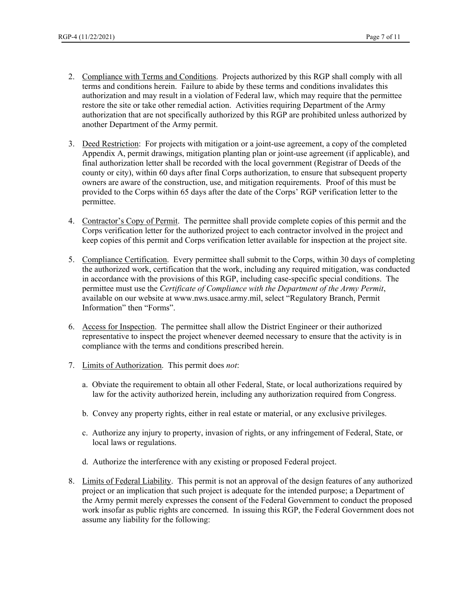- 2. Compliance with Terms and Conditions. Projects authorized by this RGP shall comply with all terms and conditions herein. Failure to abide by these terms and conditions invalidates this authorization and may result in a violation of Federal law, which may require that the permittee restore the site or take other remedial action. Activities requiring Department of the Army authorization that are not specifically authorized by this RGP are prohibited unless authorized by another Department of the Army permit.
- 3. Deed Restriction: For projects with mitigation or a joint-use agreement, a copy of the completed Appendix A, permit drawings, mitigation planting plan or joint-use agreement (if applicable), and final authorization letter shall be recorded with the local government (Registrar of Deeds of the county or city), within 60 days after final Corps authorization, to ensure that subsequent property owners are aware of the construction, use, and mitigation requirements. Proof of this must be provided to the Corps within 65 days after the date of the Corps' RGP verification letter to the permittee.
- 4. Contractor's Copy of Permit. The permittee shall provide complete copies of this permit and the Corps verification letter for the authorized project to each contractor involved in the project and keep copies of this permit and Corps verification letter available for inspection at the project site.
- 5. Compliance Certification. Every permittee shall submit to the Corps, within 30 days of completing the authorized work, certification that the work, including any required mitigation, was conducted in accordance with the provisions of this RGP, including case-specific special conditions. The permittee must use the *Certificate of Compliance with the Department of the Army Permit*, available on our website at www.nws.usace.army.mil, select "Regulatory Branch, Permit Information" then "Forms".
- 6. Access for Inspection. The permittee shall allow the District Engineer or their authorized representative to inspect the project whenever deemed necessary to ensure that the activity is in compliance with the terms and conditions prescribed herein.
- 7. Limits of Authorization. This permit does *not*:
	- a. Obviate the requirement to obtain all other Federal, State, or local authorizations required by law for the activity authorized herein, including any authorization required from Congress.
	- b. Convey any property rights, either in real estate or material, or any exclusive privileges.
	- c. Authorize any injury to property, invasion of rights, or any infringement of Federal, State, or local laws or regulations.
	- d. Authorize the interference with any existing or proposed Federal project.
- 8. Limits of Federal Liability. This permit is not an approval of the design features of any authorized project or an implication that such project is adequate for the intended purpose; a Department of the Army permit merely expresses the consent of the Federal Government to conduct the proposed work insofar as public rights are concerned. In issuing this RGP, the Federal Government does not assume any liability for the following: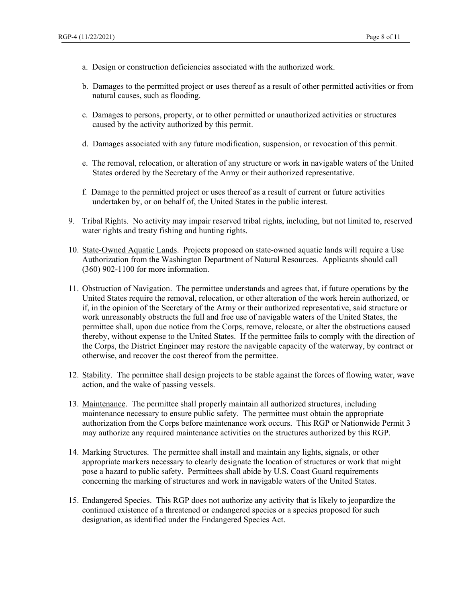- a. Design or construction deficiencies associated with the authorized work.
- b. Damages to the permitted project or uses thereof as a result of other permitted activities or from natural causes, such as flooding.
- c. Damages to persons, property, or to other permitted or unauthorized activities or structures caused by the activity authorized by this permit.
- d. Damages associated with any future modification, suspension, or revocation of this permit.
- e. The removal, relocation, or alteration of any structure or work in navigable waters of the United States ordered by the Secretary of the Army or their authorized representative.
- f. Damage to the permitted project or uses thereof as a result of current or future activities undertaken by, or on behalf of, the United States in the public interest.
- 9. Tribal Rights. No activity may impair reserved tribal rights, including, but not limited to, reserved water rights and treaty fishing and hunting rights.
- 10. State-Owned Aquatic Lands. Projects proposed on state-owned aquatic lands will require a Use Authorization from the Washington Department of Natural Resources. Applicants should call (360) 902-1100 for more information.
- 11. Obstruction of Navigation. The permittee understands and agrees that, if future operations by the United States require the removal, relocation, or other alteration of the work herein authorized, or if, in the opinion of the Secretary of the Army or their authorized representative, said structure or work unreasonably obstructs the full and free use of navigable waters of the United States, the permittee shall, upon due notice from the Corps, remove, relocate, or alter the obstructions caused thereby, without expense to the United States. If the permittee fails to comply with the direction of the Corps, the District Engineer may restore the navigable capacity of the waterway, by contract or otherwise, and recover the cost thereof from the permittee.
- 12. Stability. The permittee shall design projects to be stable against the forces of flowing water, wave action, and the wake of passing vessels.
- 13. Maintenance. The permittee shall properly maintain all authorized structures, including maintenance necessary to ensure public safety. The permittee must obtain the appropriate authorization from the Corps before maintenance work occurs. This RGP or Nationwide Permit 3 may authorize any required maintenance activities on the structures authorized by this RGP.
- 14. Marking Structures. The permittee shall install and maintain any lights, signals, or other appropriate markers necessary to clearly designate the location of structures or work that might pose a hazard to public safety. Permittees shall abide by U.S. Coast Guard requirements concerning the marking of structures and work in navigable waters of the United States.
- 15. Endangered Species. This RGP does not authorize any activity that is likely to jeopardize the continued existence of a threatened or endangered species or a species proposed for such designation, as identified under the Endangered Species Act.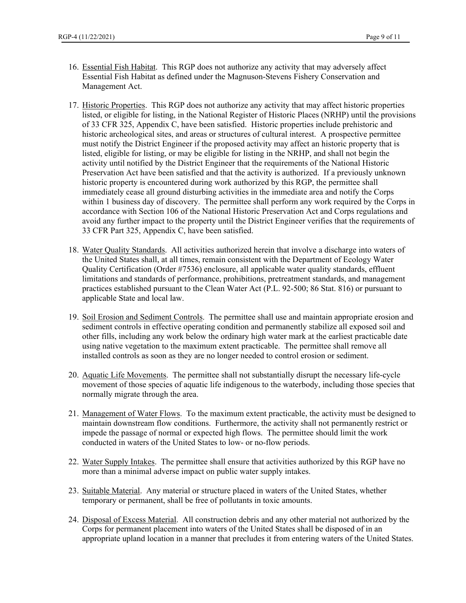- 16. Essential Fish Habitat. This RGP does not authorize any activity that may adversely affect Essential Fish Habitat as defined under the Magnuson-Stevens Fishery Conservation and Management Act.
- 17. Historic Properties. This RGP does not authorize any activity that may affect historic properties listed, or eligible for listing, in the National Register of Historic Places (NRHP) until the provisions of 33 CFR 325, Appendix C, have been satisfied. Historic properties include prehistoric and historic archeological sites, and areas or structures of cultural interest. A prospective permittee must notify the District Engineer if the proposed activity may affect an historic property that is listed, eligible for listing, or may be eligible for listing in the NRHP, and shall not begin the activity until notified by the District Engineer that the requirements of the National Historic Preservation Act have been satisfied and that the activity is authorized. If a previously unknown historic property is encountered during work authorized by this RGP, the permittee shall immediately cease all ground disturbing activities in the immediate area and notify the Corps within 1 business day of discovery. The permittee shall perform any work required by the Corps in accordance with Section 106 of the National Historic Preservation Act and Corps regulations and avoid any further impact to the property until the District Engineer verifies that the requirements of 33 CFR Part 325, Appendix C, have been satisfied.
- 18. Water Quality Standards. All activities authorized herein that involve a discharge into waters of the United States shall, at all times, remain consistent with the Department of Ecology Water Quality Certification (Order #7536) enclosure, all applicable water quality standards, effluent limitations and standards of performance, prohibitions, pretreatment standards, and management practices established pursuant to the Clean Water Act (P.L. 92-500; 86 Stat. 816) or pursuant to applicable State and local law.
- 19. Soil Erosion and Sediment Controls. The permittee shall use and maintain appropriate erosion and sediment controls in effective operating condition and permanently stabilize all exposed soil and other fills, including any work below the ordinary high water mark at the earliest practicable date using native vegetation to the maximum extent practicable. The permittee shall remove all installed controls as soon as they are no longer needed to control erosion or sediment.
- 20. Aquatic Life Movements. The permittee shall not substantially disrupt the necessary life-cycle movement of those species of aquatic life indigenous to the waterbody, including those species that normally migrate through the area.
- 21. Management of Water Flows. To the maximum extent practicable, the activity must be designed to maintain downstream flow conditions. Furthermore, the activity shall not permanently restrict or impede the passage of normal or expected high flows. The permittee should limit the work conducted in waters of the United States to low- or no-flow periods.
- 22. Water Supply Intakes. The permittee shall ensure that activities authorized by this RGP have no more than a minimal adverse impact on public water supply intakes.
- 23. Suitable Material. Any material or structure placed in waters of the United States, whether temporary or permanent, shall be free of pollutants in toxic amounts.
- 24. Disposal of Excess Material. All construction debris and any other material not authorized by the Corps for permanent placement into waters of the United States shall be disposed of in an appropriate upland location in a manner that precludes it from entering waters of the United States.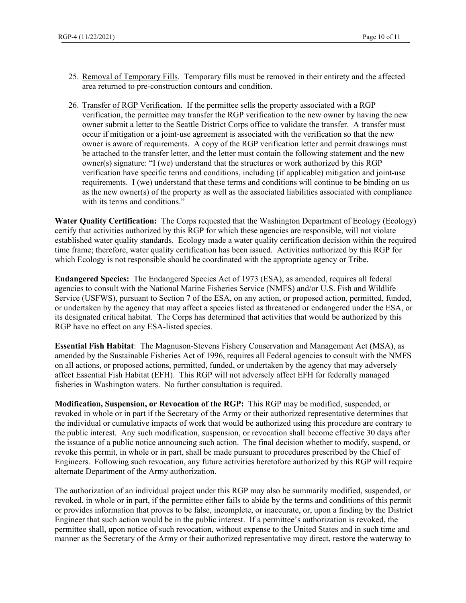- 25. Removal of Temporary Fills. Temporary fills must be removed in their entirety and the affected area returned to pre-construction contours and condition.
- 26. Transfer of RGP Verification. If the permittee sells the property associated with a RGP verification, the permittee may transfer the RGP verification to the new owner by having the new owner submit a letter to the Seattle District Corps office to validate the transfer. A transfer must occur if mitigation or a joint-use agreement is associated with the verification so that the new owner is aware of requirements. A copy of the RGP verification letter and permit drawings must be attached to the transfer letter, and the letter must contain the following statement and the new owner(s) signature: "I (we) understand that the structures or work authorized by this RGP verification have specific terms and conditions, including (if applicable) mitigation and joint-use requirements. I (we) understand that these terms and conditions will continue to be binding on us as the new owner(s) of the property as well as the associated liabilities associated with compliance with its terms and conditions."

**Water Quality Certification:** The Corps requested that the Washington Department of Ecology (Ecology) certify that activities authorized by this RGP for which these agencies are responsible, will not violate established water quality standards. Ecology made a water quality certification decision within the required time frame; therefore, water quality certification has been issued. Activities authorized by this RGP for which Ecology is not responsible should be coordinated with the appropriate agency or Tribe.

**Endangered Species:** The Endangered Species Act of 1973 (ESA), as amended, requires all federal agencies to consult with the National Marine Fisheries Service (NMFS) and/or U.S. Fish and Wildlife Service (USFWS), pursuant to Section 7 of the ESA, on any action, or proposed action, permitted, funded, or undertaken by the agency that may affect a species listed as threatened or endangered under the ESA, or its designated critical habitat. The Corps has determined that activities that would be authorized by this RGP have no effect on any ESA-listed species.

**Essential Fish Habitat**: The Magnuson-Stevens Fishery Conservation and Management Act (MSA), as amended by the Sustainable Fisheries Act of 1996, requires all Federal agencies to consult with the NMFS on all actions, or proposed actions, permitted, funded, or undertaken by the agency that may adversely affect Essential Fish Habitat (EFH). This RGP will not adversely affect EFH for federally managed fisheries in Washington waters. No further consultation is required.

**Modification, Suspension, or Revocation of the RGP:** This RGP may be modified, suspended, or revoked in whole or in part if the Secretary of the Army or their authorized representative determines that the individual or cumulative impacts of work that would be authorized using this procedure are contrary to the public interest. Any such modification, suspension, or revocation shall become effective 30 days after the issuance of a public notice announcing such action. The final decision whether to modify, suspend, or revoke this permit, in whole or in part, shall be made pursuant to procedures prescribed by the Chief of Engineers. Following such revocation, any future activities heretofore authorized by this RGP will require alternate Department of the Army authorization.

The authorization of an individual project under this RGP may also be summarily modified, suspended, or revoked, in whole or in part, if the permittee either fails to abide by the terms and conditions of this permit or provides information that proves to be false, incomplete, or inaccurate, or, upon a finding by the District Engineer that such action would be in the public interest. If a permittee's authorization is revoked, the permittee shall, upon notice of such revocation, without expense to the United States and in such time and manner as the Secretary of the Army or their authorized representative may direct, restore the waterway to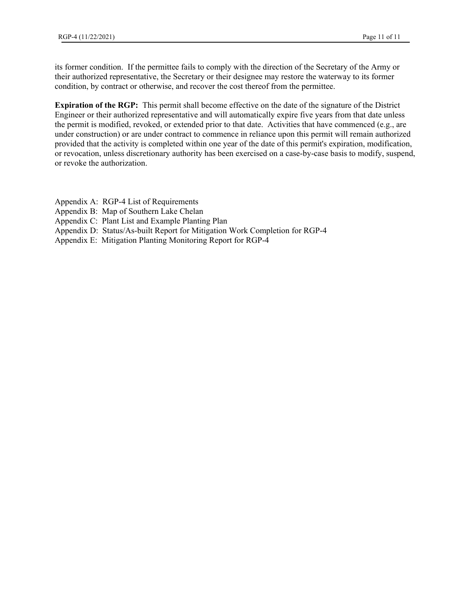its former condition. If the permittee fails to comply with the direction of the Secretary of the Army or their authorized representative, the Secretary or their designee may restore the waterway to its former condition, by contract or otherwise, and recover the cost thereof from the permittee.

**Expiration of the RGP:** This permit shall become effective on the date of the signature of the District Engineer or their authorized representative and will automatically expire five years from that date unless the permit is modified, revoked, or extended prior to that date. Activities that have commenced (e.g., are under construction) or are under contract to commence in reliance upon this permit will remain authorized provided that the activity is completed within one year of the date of this permit's expiration, modification, or revocation, unless discretionary authority has been exercised on a case-by-case basis to modify, suspend, or revoke the authorization.

- Appendix A: RGP-4 List of Requirements
- Appendix B: Map of Southern Lake Chelan
- Appendix C: Plant List and Example Planting Plan
- Appendix D: Status/As-built Report for Mitigation Work Completion for RGP-4
- Appendix E: Mitigation Planting Monitoring Report for RGP-4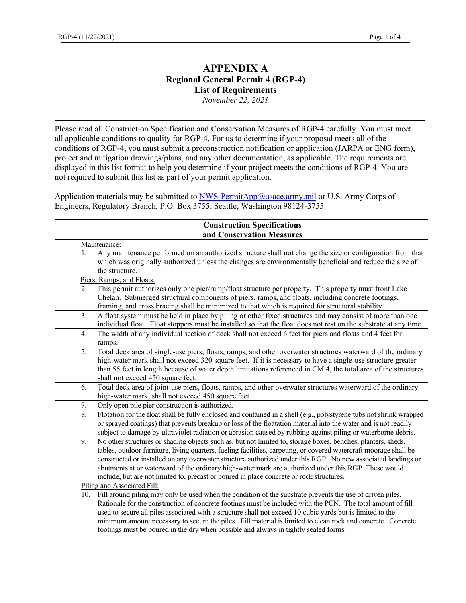## **APPENDIX A Regional General Permit 4 (RGP-4) List of Requirements**

*November 22, 2021*

Please read all Construction Specification and Conservation Measures of RGP-4 carefully. You must meet all applicable conditions to quality for RGP-4. For us to determine if your proposal meets all of the conditions of RGP-4, you must submit a preconstruction notification or application (JARPA or ENG form), project and mitigation drawings/plans, and any other documentation, as applicable. The requirements are displayed in this list format to help you determine if your project meets the conditions of RGP-4. You are not required to submit this list as part of your permit application.

Application materials may be submitted to  $NWS-PermitApp@usace.army.mil$  or U.S. Army Corps of Engineers, Regulatory Branch, P.O. Box 3755, Seattle, Washington 98124-3755.

| <b>Construction Specifications</b> |                                                                                                                                                                                                                      |  |
|------------------------------------|----------------------------------------------------------------------------------------------------------------------------------------------------------------------------------------------------------------------|--|
| and Conservation Measures          |                                                                                                                                                                                                                      |  |
| Maintenance:                       |                                                                                                                                                                                                                      |  |
| 1.                                 | Any maintenance performed on an authorized structure shall not change the size or configuration from that                                                                                                            |  |
|                                    | which was originally authorized unless the changes are environmentally beneficial and reduce the size of                                                                                                             |  |
|                                    | the structure.                                                                                                                                                                                                       |  |
|                                    | Piers, Ramps, and Floats:                                                                                                                                                                                            |  |
| 2.                                 | This permit authorizes only one pier/ramp/float structure per property. This property must front Lake                                                                                                                |  |
|                                    | Chelan. Submerged structural components of piers, ramps, and floats, including concrete footings,                                                                                                                    |  |
|                                    | framing, and cross bracing shall be minimized to that which is required for structural stability.                                                                                                                    |  |
| 3.                                 | A float system must be held in place by piling or other fixed structures and may consist of more than one                                                                                                            |  |
|                                    | individual float. Float stoppers must be installed so that the float does not rest on the substrate at any time.                                                                                                     |  |
| 4.                                 | The width of any individual section of deck shall not exceed 6 feet for piers and floats and 4 feet for                                                                                                              |  |
|                                    | ramps.                                                                                                                                                                                                               |  |
| 5.                                 | Total deck area of single-use piers, floats, ramps, and other overwater structures waterward of the ordinary                                                                                                         |  |
|                                    | high-water mark shall not exceed 320 square feet. If it is necessary to have a single-use structure greater                                                                                                          |  |
|                                    | than 55 feet in length because of water depth limitations referenced in CM 4, the total area of the structures                                                                                                       |  |
|                                    | shall not exceed 450 square feet.                                                                                                                                                                                    |  |
| 6.                                 | Total deck area of joint-use piers, floats, ramps, and other overwater structures waterward of the ordinary                                                                                                          |  |
|                                    | high-water mark, shall not exceed 450 square feet.                                                                                                                                                                   |  |
| 7.                                 | Only open pile pier construction is authorized.                                                                                                                                                                      |  |
| 8.                                 | Flotation for the float shall be fully enclosed and contained in a shell (e.g., polystyrene tubs not shrink wrapped                                                                                                  |  |
|                                    | or sprayed coatings) that prevents breakup or loss of the floatation material into the water and is not readily                                                                                                      |  |
|                                    | subject to damage by ultraviolet radiation or abrasion caused by rubbing against piling or waterborne debris.                                                                                                        |  |
| 9.                                 | No other structures or shading objects such as, but not limited to, storage boxes, benches, planters, sheds,                                                                                                         |  |
|                                    | tables, outdoor furniture, living quarters, fueling facilities, carpeting, or covered watercraft moorage shall be                                                                                                    |  |
|                                    | constructed or installed on any overwater structure authorized under this RGP. No new associated landings or<br>abutments at or waterward of the ordinary high-water mark are authorized under this RGP. These would |  |
|                                    | include, but are not limited to, precast or poured in place concrete or rock structures.                                                                                                                             |  |
|                                    | Piling and Associated Fill:                                                                                                                                                                                          |  |
| 10.                                | Fill around piling may only be used when the condition of the substrate prevents the use of driven piles.                                                                                                            |  |
|                                    | Rationale for the construction of concrete footings must be included with the PCN. The total amount of fill                                                                                                          |  |
|                                    | used to secure all piles associated with a structure shall not exceed 10 cubic yards but is limited to the                                                                                                           |  |
|                                    | minimum amount necessary to secure the piles. Fill material is limited to clean rock and concrete. Concrete                                                                                                          |  |
|                                    | footings must be poured in the dry when possible and always in tightly sealed forms.                                                                                                                                 |  |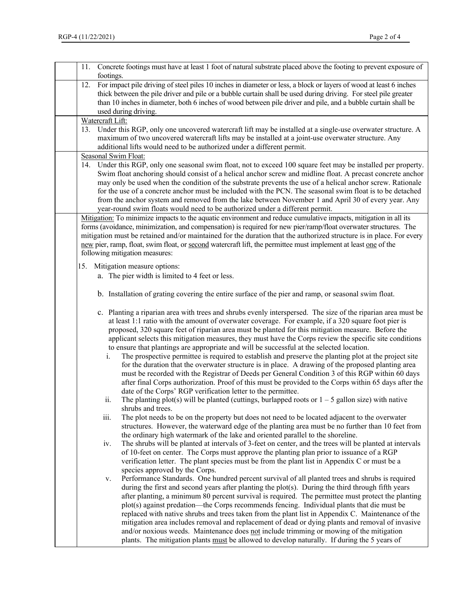| 11. Concrete footings must have at least 1 foot of natural substrate placed above the footing to prevent exposure of<br>footings.                                                                                                                                                                                                                                                                                                                                                                                                                                                                                                                                                                                                                                                                                                                                                                                                                                                                                                   |
|-------------------------------------------------------------------------------------------------------------------------------------------------------------------------------------------------------------------------------------------------------------------------------------------------------------------------------------------------------------------------------------------------------------------------------------------------------------------------------------------------------------------------------------------------------------------------------------------------------------------------------------------------------------------------------------------------------------------------------------------------------------------------------------------------------------------------------------------------------------------------------------------------------------------------------------------------------------------------------------------------------------------------------------|
| For impact pile driving of steel piles 10 inches in diameter or less, a block or layers of wood at least 6 inches<br>12.<br>thick between the pile driver and pile or a bubble curtain shall be used during driving. For steel pile greater<br>than 10 inches in diameter, both 6 inches of wood between pile driver and pile, and a bubble curtain shall be<br>used during driving.                                                                                                                                                                                                                                                                                                                                                                                                                                                                                                                                                                                                                                                |
|                                                                                                                                                                                                                                                                                                                                                                                                                                                                                                                                                                                                                                                                                                                                                                                                                                                                                                                                                                                                                                     |
| Watercraft Lift:<br>13. Under this RGP, only one uncovered watercraft lift may be installed at a single-use overwater structure. A<br>maximum of two uncovered watercraft lifts may be installed at a joint-use overwater structure. Any                                                                                                                                                                                                                                                                                                                                                                                                                                                                                                                                                                                                                                                                                                                                                                                            |
| additional lifts would need to be authorized under a different permit.                                                                                                                                                                                                                                                                                                                                                                                                                                                                                                                                                                                                                                                                                                                                                                                                                                                                                                                                                              |
| Seasonal Swim Float:<br>14. Under this RGP, only one seasonal swim float, not to exceed 100 square feet may be installed per property.<br>Swim float anchoring should consist of a helical anchor screw and midline float. A precast concrete anchor<br>may only be used when the condition of the substrate prevents the use of a helical anchor screw. Rationale<br>for the use of a concrete anchor must be included with the PCN. The seasonal swim float is to be detached<br>from the anchor system and removed from the lake between November 1 and April 30 of every year. Any<br>year-round swim floats would need to be authorized under a different permit.                                                                                                                                                                                                                                                                                                                                                              |
| Mitigation: To minimize impacts to the aquatic environment and reduce cumulative impacts, mitigation in all its                                                                                                                                                                                                                                                                                                                                                                                                                                                                                                                                                                                                                                                                                                                                                                                                                                                                                                                     |
| forms (avoidance, minimization, and compensation) is required for new pier/ramp/float overwater structures. The<br>mitigation must be retained and/or maintained for the duration that the authorized structure is in place. For every<br>new pier, ramp, float, swim float, or second watercraft lift, the permittee must implement at least one of the<br>following mitigation measures:                                                                                                                                                                                                                                                                                                                                                                                                                                                                                                                                                                                                                                          |
| 15. Mitigation measure options:                                                                                                                                                                                                                                                                                                                                                                                                                                                                                                                                                                                                                                                                                                                                                                                                                                                                                                                                                                                                     |
| a. The pier width is limited to 4 feet or less.                                                                                                                                                                                                                                                                                                                                                                                                                                                                                                                                                                                                                                                                                                                                                                                                                                                                                                                                                                                     |
| b. Installation of grating covering the entire surface of the pier and ramp, or seasonal swim float.                                                                                                                                                                                                                                                                                                                                                                                                                                                                                                                                                                                                                                                                                                                                                                                                                                                                                                                                |
| c. Planting a riparian area with trees and shrubs evenly interspersed. The size of the riparian area must be<br>at least 1:1 ratio with the amount of overwater coverage. For example, if a 320 square foot pier is<br>proposed, 320 square feet of riparian area must be planted for this mitigation measure. Before the<br>applicant selects this mitigation measures, they must have the Corps review the specific site conditions<br>to ensure that plantings are appropriate and will be successful at the selected location.<br>The prospective permittee is required to establish and preserve the planting plot at the project site<br>i.<br>for the duration that the overwater structure is in place. A drawing of the proposed planting area<br>must be recorded with the Registrar of Deeds per General Condition 3 of this RGP within 60 days<br>after final Corps authorization. Proof of this must be provided to the Corps within 65 days after the<br>date of the Corps' RGP verification letter to the permittee. |
| The planting plot(s) will be planted (cuttings, burlapped roots or $1 - 5$ gallon size) with native<br>ii.                                                                                                                                                                                                                                                                                                                                                                                                                                                                                                                                                                                                                                                                                                                                                                                                                                                                                                                          |
| shrubs and trees.<br>iii.<br>The plot needs to be on the property but does not need to be located adjacent to the overwater<br>structures. However, the waterward edge of the planting area must be no further than 10 feet from<br>the ordinary high watermark of the lake and oriented parallel to the shoreline.                                                                                                                                                                                                                                                                                                                                                                                                                                                                                                                                                                                                                                                                                                                 |
| The shrubs will be planted at intervals of 3-feet on center, and the trees will be planted at intervals<br>iv.<br>of 10-feet on center. The Corps must approve the planting plan prior to issuance of a RGP<br>verification letter. The plant species must be from the plant list in Appendix C or must be a<br>species approved by the Corps.                                                                                                                                                                                                                                                                                                                                                                                                                                                                                                                                                                                                                                                                                      |
| Performance Standards. One hundred percent survival of all planted trees and shrubs is required<br>v.<br>during the first and second years after planting the plot(s). During the third through fifth years<br>after planting, a minimum 80 percent survival is required. The permittee must protect the planting<br>plot(s) against predation—the Corps recommends fencing. Individual plants that die must be<br>replaced with native shrubs and trees taken from the plant list in Appendix C. Maintenance of the<br>mitigation area includes removal and replacement of dead or dying plants and removal of invasive<br>and/or noxious weeds. Maintenance does not include trimming or mowing of the mitigation<br>plants. The mitigation plants must be allowed to develop naturally. If during the 5 years of                                                                                                                                                                                                                 |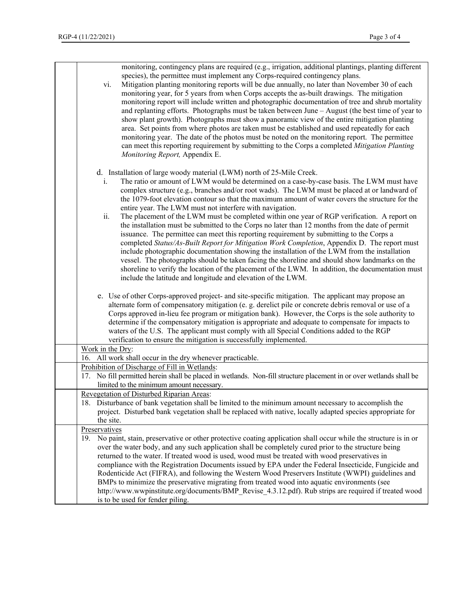| monitoring, contingency plans are required (e.g., irrigation, additional plantings, planting different<br>species), the permittee must implement any Corps-required contingency plans.<br>Mitigation planting monitoring reports will be due annually, no later than November 30 of each<br>vi.<br>monitoring year, for 5 years from when Corps accepts the as-built drawings. The mitigation<br>monitoring report will include written and photographic documentation of tree and shrub mortality<br>and replanting efforts. Photographs must be taken between June - August (the best time of year to<br>show plant growth). Photographs must show a panoramic view of the entire mitigation planting<br>area. Set points from where photos are taken must be established and used repeatedly for each<br>monitoring year. The date of the photos must be noted on the monitoring report. The permittee<br>can meet this reporting requirement by submitting to the Corps a completed Mitigation Planting<br>Monitoring Report, Appendix E.                                                                                                                                                                        |
|----------------------------------------------------------------------------------------------------------------------------------------------------------------------------------------------------------------------------------------------------------------------------------------------------------------------------------------------------------------------------------------------------------------------------------------------------------------------------------------------------------------------------------------------------------------------------------------------------------------------------------------------------------------------------------------------------------------------------------------------------------------------------------------------------------------------------------------------------------------------------------------------------------------------------------------------------------------------------------------------------------------------------------------------------------------------------------------------------------------------------------------------------------------------------------------------------------------------|
| d. Installation of large woody material (LWM) north of 25-Mile Creek.<br>The ratio or amount of LWM would be determined on a case-by-case basis. The LWM must have<br>i.<br>complex structure (e.g., branches and/or root wads). The LWM must be placed at or landward of<br>the 1079-foot elevation contour so that the maximum amount of water covers the structure for the<br>entire year. The LWM must not interfere with navigation.<br>ii.<br>The placement of the LWM must be completed within one year of RGP verification. A report on<br>the installation must be submitted to the Corps no later than 12 months from the date of permit<br>issuance. The permittee can meet this reporting requirement by submitting to the Corps a<br>completed Status/As-Built Report for Mitigation Work Completion, Appendix D. The report must<br>include photographic documentation showing the installation of the LWM from the installation<br>vessel. The photographs should be taken facing the shoreline and should show landmarks on the<br>shoreline to verify the location of the placement of the LWM. In addition, the documentation must<br>include the latitude and longitude and elevation of the LWM. |
| e. Use of other Corps-approved project- and site-specific mitigation. The applicant may propose an<br>alternate form of compensatory mitigation (e. g. derelict pile or concrete debris removal or use of a<br>Corps approved in-lieu fee program or mitigation bank). However, the Corps is the sole authority to<br>determine if the compensatory mitigation is appropriate and adequate to compensate for impacts to<br>waters of the U.S. The applicant must comply with all Special Conditions added to the RGP<br>verification to ensure the mitigation is successfully implemented.                                                                                                                                                                                                                                                                                                                                                                                                                                                                                                                                                                                                                           |
| Work in the Dry:<br>16. All work shall occur in the dry whenever practicable.                                                                                                                                                                                                                                                                                                                                                                                                                                                                                                                                                                                                                                                                                                                                                                                                                                                                                                                                                                                                                                                                                                                                        |
| Prohibition of Discharge of Fill in Wetlands:<br>17. No fill permitted herein shall be placed in wetlands. Non-fill structure placement in or over wetlands shall be<br>limited to the minimum amount necessary.                                                                                                                                                                                                                                                                                                                                                                                                                                                                                                                                                                                                                                                                                                                                                                                                                                                                                                                                                                                                     |
| Revegetation of Disturbed Riparian Areas:<br>18. Disturbance of bank vegetation shall be limited to the minimum amount necessary to accomplish the<br>project. Disturbed bank vegetation shall be replaced with native, locally adapted species appropriate for<br>the site.                                                                                                                                                                                                                                                                                                                                                                                                                                                                                                                                                                                                                                                                                                                                                                                                                                                                                                                                         |
| Preservatives<br>19. No paint, stain, preservative or other protective coating application shall occur while the structure is in or<br>over the water body, and any such application shall be completely cured prior to the structure being<br>returned to the water. If treated wood is used, wood must be treated with wood preservatives in<br>compliance with the Registration Documents issued by EPA under the Federal Insecticide, Fungicide and<br>Rodenticide Act (FIFRA), and following the Western Wood Preservers Institute (WWPI) guidelines and<br>BMPs to minimize the preservative migrating from treated wood into aquatic environments (see<br>http://www.wwpinstitute.org/documents/BMP_Revise_4.3.12.pdf). Rub strips are required if treated wood<br>is to be used for fender piling.                                                                                                                                                                                                                                                                                                                                                                                                           |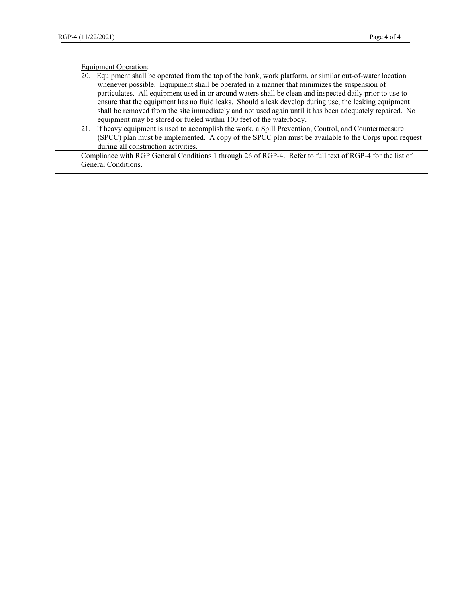|  | Equipment Operation:                                                                                         |
|--|--------------------------------------------------------------------------------------------------------------|
|  | Equipment shall be operated from the top of the bank, work platform, or similar out-of-water location<br>20. |
|  | whenever possible. Equipment shall be operated in a manner that minimizes the suspension of                  |
|  | particulates. All equipment used in or around waters shall be clean and inspected daily prior to use to      |
|  | ensure that the equipment has no fluid leaks. Should a leak develop during use, the leaking equipment        |
|  | shall be removed from the site immediately and not used again until it has been adequately repaired. No      |
|  | equipment may be stored or fueled within 100 feet of the waterbody.                                          |
|  | 21. If heavy equipment is used to accomplish the work, a Spill Prevention, Control, and Countermeasure       |
|  | (SPCC) plan must be implemented. A copy of the SPCC plan must be available to the Corps upon request         |
|  | during all construction activities.                                                                          |
|  | Compliance with RGP General Conditions 1 through 26 of RGP-4. Refer to full text of RGP-4 for the list of    |
|  | General Conditions.                                                                                          |
|  |                                                                                                              |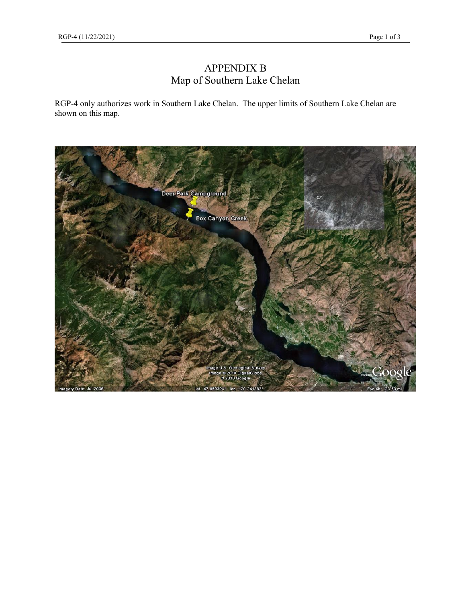## APPENDIX B Map of Southern Lake Chelan

RGP-4 only authorizes work in Southern Lake Chelan. The upper limits of Southern Lake Chelan are shown on this map.

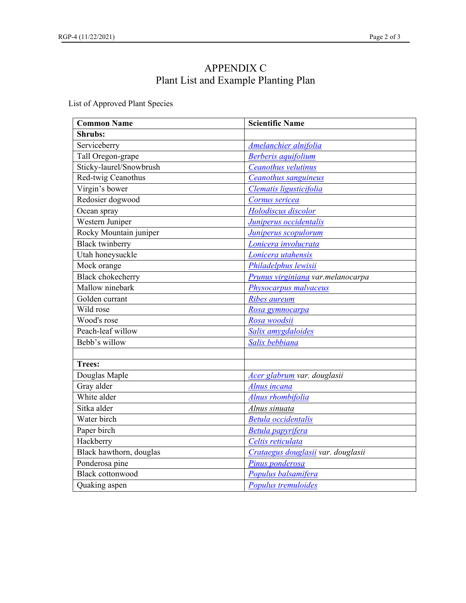## APPENDIX C Plant List and Example Planting Plan

List of Approved Plant Species

| <b>Common Name</b>       | <b>Scientific Name</b>             |
|--------------------------|------------------------------------|
| <b>Shrubs:</b>           |                                    |
| Serviceberry             | Amelanchier alnifolia              |
| Tall Oregon-grape        | <b>Berberis</b> aquifolium         |
| Sticky-laurel/Snowbrush  | Ceanothus velutinus                |
| Red-twig Ceanothus       | Ceanothus sanguineus               |
| Virgin's bower           | Clematis ligusticifolia            |
| Redosier dogwood         | Cornus sericea                     |
| Ocean spray              | Holodiscus discolor                |
| Western Juniper          | Juniperus occidentalis             |
| Rocky Mountain juniper   | Juniperus scopulorum               |
| <b>Black twinberry</b>   | Lonicera involucrata               |
| Utah honeysuckle         | Lonicera utahensis                 |
| Mock orange              | Philadelphus lewisii               |
| <b>Black chokecherry</b> | Prunus virginiana var.melanocarpa  |
| Mallow ninebark          | Physocarpus malvaceus              |
| Golden currant           | Ribes aureum                       |
| Wild rose                | Rosa gymnocarpa                    |
| Wood's rose              | Rosa woodsii                       |
| Peach-leaf willow        | Salix amygdaloides                 |
| Bebb's willow            | Salix bebbiana                     |
|                          |                                    |
| <b>Trees:</b>            |                                    |
| Douglas Maple            | Acer glabrum var. douglasii        |
| Gray alder               | Alnus incana                       |
| White alder              | Alnus rhombifolia                  |
| Sitka alder              | Alnus sinuata                      |
| Water birch              | <b>Betula</b> occidentalis         |
| Paper birch              | <b>Betula papyrifera</b>           |
| Hackberry                | Celtis reticulata                  |
| Black hawthorn, douglas  | Crataegus douglasii var. douglasii |
| Ponderosa pine           | Pinus ponderosa                    |
| <b>Black cottonwood</b>  | Populus balsamifera                |
| Quaking aspen            | Populus tremuloides                |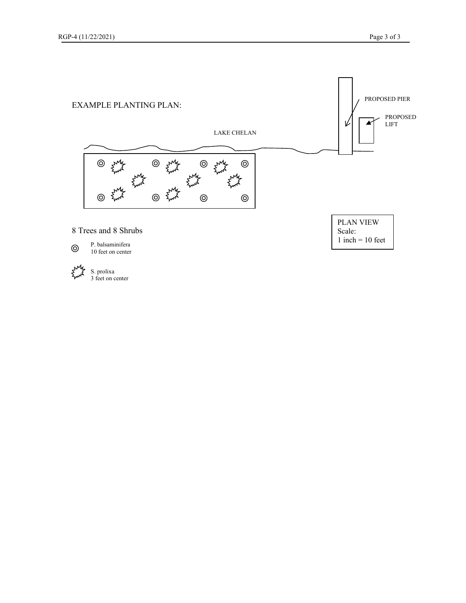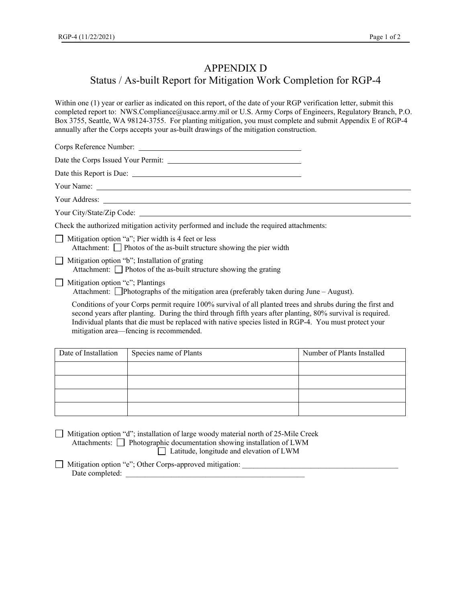## APPENDIX D

## Status / As-built Report for Mitigation Work Completion for RGP-4

Within one (1) year or earlier as indicated on this report, of the date of your RGP verification letter, submit this completed report to: NWS.Compliance@usace.army.mil or U.S. Army Corps of Engineers, Regulatory Branch, P.O. Box 3755, Seattle, WA 98124-3755. For planting mitigation, you must complete and submit Appendix E of RGP-4 annually after the Corps accepts your as-built drawings of the mitigation construction.

Corps Reference Number: Date the Corps Issued Your Permit: Date this Report is Due: Your Name: Your Address: Your City/State/Zip Code: \_\_\_\_\_\_\_\_ Check the authorized mitigation activity performed and include the required attachments:  $\Box$  Mitigation option "a"; Pier width is 4 feet or less Attachment:  $\Box$  Photos of the as-built structure showing the pier width  $\Box$  Mitigation option "b"; Installation of grating Attachment: Photos of the as-built structure showing the grating  $\Box$  Mitigation option "c"; Plantings Attachment: Photographs of the mitigation area (preferably taken during June – August). Conditions of your Corps permit require 100% survival of all planted trees and shrubs during the first and second years after planting. During the third through fifth years after planting, 80% survival is required. Individual plants that die must be replaced with native species listed in RGP-4. You must protect your mitigation area—fencing is recommended.

| Date of Installation | Species name of Plants | Number of Plants Installed |  |
|----------------------|------------------------|----------------------------|--|
|                      |                        |                            |  |
|                      |                        |                            |  |
|                      |                        |                            |  |
|                      |                        |                            |  |

 Mitigation option "d"; installation of large woody material north of 25-Mile Creek Attachments: Photographic documentation showing installation of LWM

Latitude, longitude and elevation of LWM

□ Mitigation option "e"; Other Corps-approved mitigation: Date completed: